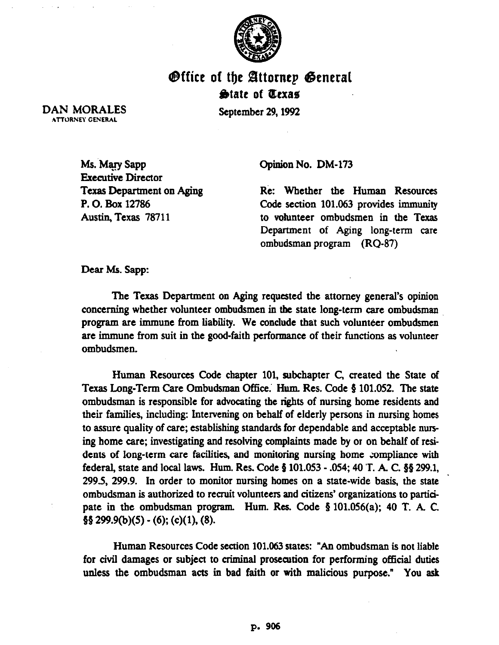

**Office of the Attorney General**  $\bigoplus$ **tate** of *Ecxas* 

DAN MORALES **ATTORNEY GENERAL** 

September 29.1992

Ms. Mary Sapp Executive Director Texas Department on Aging P. 0. Box 12786 Austin, Texas 78711

opinion No. DM-173

Re: Whether the Human Resources Code section 101.063 provides immunity to vohmteer ombudsmen in the Texas Department of Aging long-term care ombudsman program (RQ-87)

Dear Ms. Sapp:

The Texas Department on Aging requested the attorney general's opinion concerning whether volunteer ombudsmen in the state long-term care ombudsman program are immune from liability. We conclude that such volunteer ombudsmen are immune from suit in the good-faith performance of their functions as volunteer ombudsmen.

Human Resources Code chapter 101, subchapter C, created the State of Texas Long-Term Care Ombudsman Office.' Hum. Res. Code § 101.052. The state ombudsman is responsible for advocating the rights of nursing home residents and their families, including: Intervening on behalf of elderly persons in nursing homes to assure quality of care; establishing standards for dependable and acceptable nursing home care; investigating and resolving complaints made by or on behalf of residents of long-term care facilities, and monitoring nursing home :ompliance with federal, state and local laws. Hum. Res. Code Q 101.053 - .054; 40 'T. A. C. 98 299.1, 299.5, 299.9. In order to monitor nursing homes on a state-wide basis, the state ombudsman is authorized to recruit volunteers and citizens' organizations to participate in the ombudsman program. Hum. Res. Code § 101.056(a); 40 T. A. C.  $\S$ § 299.9(b)(5) - (6); (c)(1), (8).

Human Resources Code section 101.063 states: "An ombudsman is not liable for civiI damages or subject to criminal proseanion for performing official duties unless the ombudsman acts in bad faith or with malicious purpose." You ask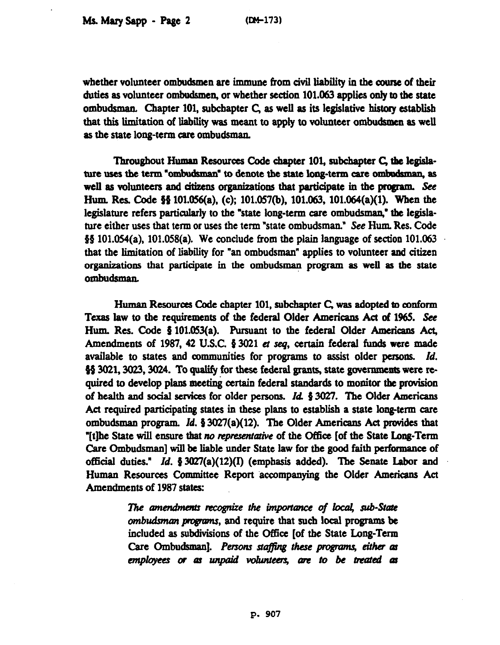whether volunteer ombudsmen are immune from civil liability in the course of their duties as volunteer ombudsmen, or whether section 101.063 applies only to the state ombudsman Chapter 101, subchapter C, as well as its legislative history establish that this limitation of liability was meant to apply to volunteer ombudsmen aa well as the state long-term care ombudsman.

Throughout Human Resources Code chapter 101, subchapter C, the legislature uses the term "ombudsman" to denote the state long-term care ombudsman, as well as volunteers and citizens organizations that participate in the program. See Hum. Res. Code  $\S$ § 101.056(a), (c); 101.057(b), 101.063, 101.064(a)(1). When the legislature refers particularly to the "state long-term care ombudsman," the legislature either uses that term or uses the term "state ombudsman" See Hum. Res. Code  $\S$ § 101.054(a), 101.058(a). We conclude from the plain language of section 101.063 that the limitation of liability for "an ombudsman" applies to volunteer and citizen organizations that participate in the ombudsman program as well as the state **Ombudsman.** 

Human Resources Code chapter 101, subchapter C, was adopted to conform Texas law to the requirements of the federal Older Americans Act of 1965. See Hum. Res. Code  $\S 101.053(a)$ . Pursuant to the federal Older Americans Act, Amendments of 1987, 42 U.S.C.  $\S 3021$  et seq, certain federal funds were made available to states and communities for programs to assist older persons. Id. §§ 3021, 3023, 3024. To qualify for these federal grants, state governments were required to develop plans meeting certain federal standards to monitor the provision of health and social services for older persons. Id.  $\frac{1}{2}$  3027. The Older Americans Act required participating states in these plans to establish a state long-term care ombudsman program. Id.  $\frac{2}{3}$  3027(a)(12). The Older Americans Act provides that "[t]he State will ensure that no representative of the Office [of the State Long-Term Care Ombudsman] will be liable under State law for the good faith performance of official duties." *Id.* § 3027(a)(12)(I) (emphasis added). The Senate Labor and Human Resources Committee Report accompanying the Older Americans Act Amendments of 1987 states:

> The amendments recognize the importance of local, sub-State *ombudsman programs*, and require that such local programs be included as subdivisions of the Office [of the State Long-Term Care Ombudsman]. Persons staffing these programs, either as employees or as unpaid volunteers, are to be treated as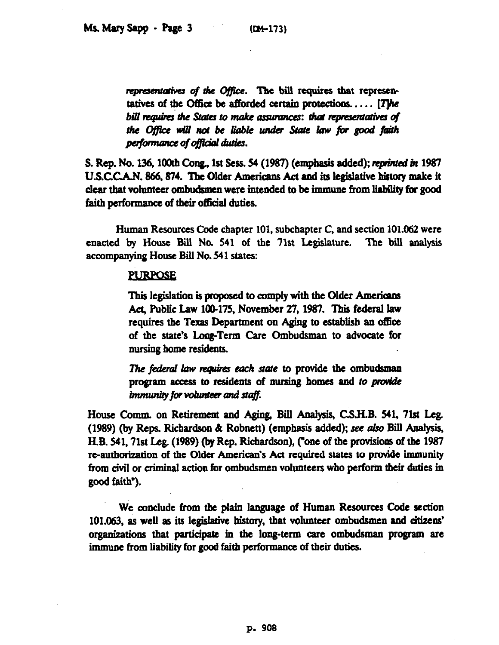representatives of the Office. The bill requires that representatives of the Office be afforded certain protections..... [The bill requires the States to make assurances: that representatives of the Office will not be liable under State law for good faith *performance of official duties.* 

S. Rep. No. 136, 100th Cong., 1st Sess. 54 (1987) (emphasis added); *reprinted in* 1987 U.S.C.C.A.N. 866, 874. The Older Americans Act and its legislative history make it clear that volunteer ombudsmen were intended to be immune from liability for good faith performance of their official duties.

Human Resources Code chapter 101, subchapter C, and section 101.062 were enacted by House Bill No. 541 of the 71st Legislature. The bill analysis accompanying House Bill No. 541 states:

## **PURPOSE**

This legislation is proposed to comply with the Older Americans Act, Public Law 100-175, November 27, 1987. This federal law requires the Texas Department on Aging to establish an office of the state's Long-Term Care Ombudsman to advocate for nursing home residents.

The *federal law requires each state* to provide the ombudsman program access to residents of nursing homes and *to provide immunity for volunteer and staff.* 

House Comm. on Retirement and Aging, Bill Analysis, C.S.H.B. 541, 71st Leg. (1989) (by Reps. Richardson & Robnett) (emphasis added); see uko Bill Analysis, H.B. 541, 71st Leg. (1989) (by Rep. Richardson), ("one of the provisions of the 1987 re-authorization of the Older American's Act required states to provide immunity from civil or criminal action for ombudsmen volunteers who perform their duties in good faith").

We conclude from the plain language of Human Resources Code section 101.063, as well as its legislative history, that volunteer ombudsmen and citizens' organizations that participate in the long-term care ombudsman program are immune from liability for good faith performance of their duties.